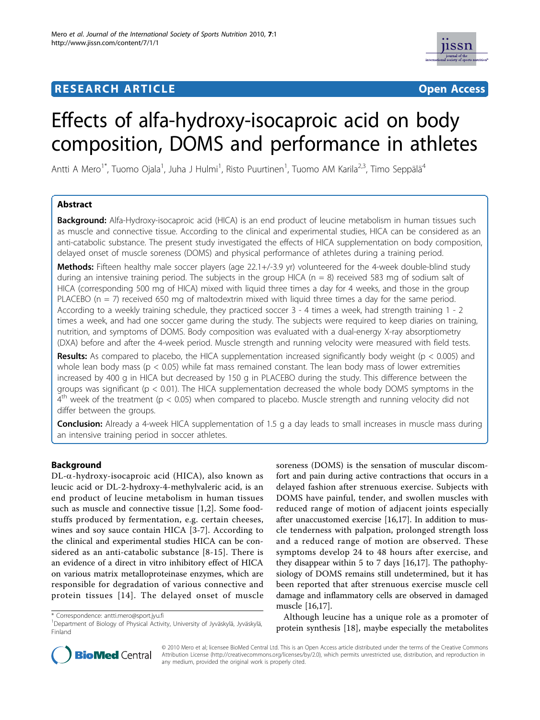# **RESEARCH ARTICLE Example 2018 12:30 THE Open Access**



# Effects of alfa-hydroxy-isocaproic acid on body composition, DOMS and performance in athletes

Antti A Mero<sup>1\*</sup>, Tuomo Ojala<sup>1</sup>, Juha J Hulmi<sup>1</sup>, Risto Puurtinen<sup>1</sup>, Tuomo AM Karila<sup>2,3</sup>, Timo Seppälä<sup>4</sup>

## Abstract

**Background:** Alfa-Hydroxy-isocaproic acid (HICA) is an end product of leucine metabolism in human tissues such as muscle and connective tissue. According to the clinical and experimental studies, HICA can be considered as an anti-catabolic substance. The present study investigated the effects of HICA supplementation on body composition, delayed onset of muscle soreness (DOMS) and physical performance of athletes during a training period.

Methods: Fifteen healthy male soccer players (age 22.1+/-3.9 yr) volunteered for the 4-week double-blind study during an intensive training period. The subjects in the group HICA ( $n = 8$ ) received 583 mg of sodium salt of HICA (corresponding 500 mg of HICA) mixed with liquid three times a day for 4 weeks, and those in the group PLACEBO ( $n = 7$ ) received 650 mg of maltodextrin mixed with liquid three times a day for the same period. According to a weekly training schedule, they practiced soccer 3 - 4 times a week, had strength training 1 - 2 times a week, and had one soccer game during the study. The subjects were required to keep diaries on training, nutrition, and symptoms of DOMS. Body composition was evaluated with a dual-energy X-ray absorptiometry (DXA) before and after the 4-week period. Muscle strength and running velocity were measured with field tests.

**Results:** As compared to placebo, the HICA supplementation increased significantly body weight ( $p < 0.005$ ) and whole lean body mass ( $p < 0.05$ ) while fat mass remained constant. The lean body mass of lower extremities increased by 400 g in HICA but decreased by 150 g in PLACEBO during the study. This difference between the groups was significant ( $p < 0.01$ ). The HICA supplementation decreased the whole body DOMS symptoms in the  $4<sup>th</sup>$  week of the treatment (p < 0.05) when compared to placebo. Muscle strength and running velocity did not differ between the groups.

**Conclusion:** Already a 4-week HICA supplementation of 1.5 g a day leads to small increases in muscle mass during an intensive training period in soccer athletes.

## Background

 $DL-\alpha$ -hydroxy-isocaproic acid (HICA), also known as leucic acid or DL-2-hydroxy-4-methylvaleric acid, is an end product of leucine metabolism in human tissues such as muscle and connective tissue [[1,2\]](#page-6-0). Some foodstuffs produced by fermentation, e.g. certain cheeses, wines and soy sauce contain HICA [\[3](#page-6-0)-[7](#page-6-0)]. According to the clinical and experimental studies HICA can be considered as an anti-catabolic substance [[8-](#page-6-0)[15\]](#page-7-0). There is an evidence of a direct in vitro inhibitory effect of HICA on various matrix metalloproteinase enzymes, which are responsible for degradation of various connective and protein tissues [[14](#page-7-0)]. The delayed onset of muscle

soreness (DOMS) is the sensation of muscular discomfort and pain during active contractions that occurs in a delayed fashion after strenuous exercise. Subjects with DOMS have painful, tender, and swollen muscles with reduced range of motion of adjacent joints especially after unaccustomed exercise [\[16,17\]](#page-7-0). In addition to muscle tenderness with palpation, prolonged strength loss and a reduced range of motion are observed. These symptoms develop 24 to 48 hours after exercise, and they disappear within 5 to 7 days [[16,17](#page-7-0)]. The pathophysiology of DOMS remains still undetermined, but it has been reported that after strenuous exercise muscle cell damage and inflammatory cells are observed in damaged muscle [[16,17](#page-7-0)].

Although leucine has a unique role as a promoter of protein synthesis [\[18](#page-7-0)], maybe especially the metabolites



© 2010 Mero et al; licensee BioMed Central Ltd. This is an Open Access article distributed under the terms of the Creative Commons Attribution License (http://creativecommons.org/licenses/by/2.0), which permits unrestricted use, distribution, and reproduction in any medium, provided the original work is properly cited.

<sup>\*</sup> Correspondence: antti.mero@sport.jyu.fi

<sup>1</sup> Department of Biology of Physical Activity, University of Jyväskylä, Jyväskylä, Finland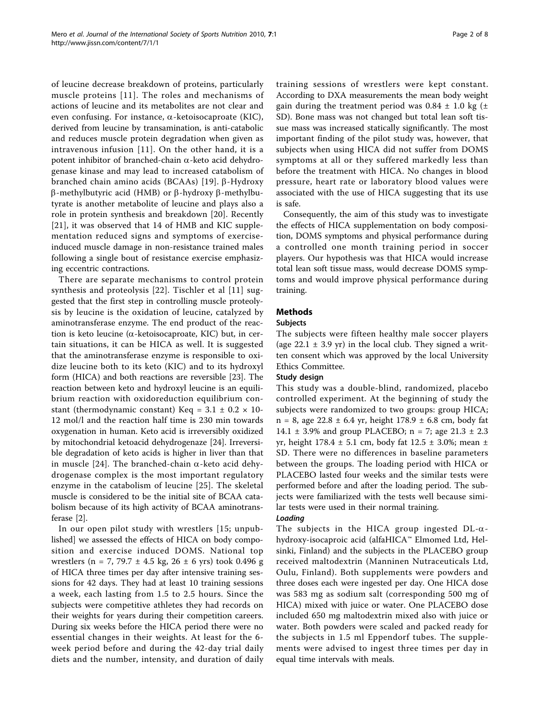of leucine decrease breakdown of proteins, particularly muscle proteins [[11\]](#page-7-0). The roles and mechanisms of actions of leucine and its metabolites are not clear and even confusing. For instance,  $\alpha$ -ketoisocaproate (KIC), derived from leucine by transamination, is anti-catabolic and reduces muscle protein degradation when given as intravenous infusion [[11\]](#page-7-0). On the other hand, it is a potent inhibitor of branched-chain  $\alpha$ -keto acid dehydrogenase kinase and may lead to increased catabolism of branched chain amino acids (BCAAs) [[19\]](#page-7-0). b-Hydroxy  $\beta$ -methylbutyric acid (HMB) or  $\beta$ -hydroxy  $\beta$ -methylbutyrate is another metabolite of leucine and plays also a role in protein synthesis and breakdown [[20\]](#page-7-0). Recently [[21](#page-7-0)], it was observed that 14 of HMB and KIC supplementation reduced signs and symptoms of exerciseinduced muscle damage in non-resistance trained males following a single bout of resistance exercise emphasizing eccentric contractions.

There are separate mechanisms to control protein synthesis and proteolysis [\[22\]](#page-7-0). Tischler et al [\[11\]](#page-7-0) suggested that the first step in controlling muscle proteolysis by leucine is the oxidation of leucine, catalyzed by aminotransferase enzyme. The end product of the reaction is keto leucine ( $\alpha$ -ketoisocaproate, KIC) but, in certain situations, it can be HICA as well. It is suggested that the aminotransferase enzyme is responsible to oxidize leucine both to its keto (KIC) and to its hydroxyl form (HICA) and both reactions are reversible [[23\]](#page-7-0). The reaction between keto and hydroxyl leucine is an equilibrium reaction with oxidoreduction equilibrium constant (thermodynamic constant) Keq =  $3.1 \pm 0.2 \times 10$ -12 mol/l and the reaction half time is 230 min towards oxygenation in human. Keto acid is irreversibly oxidized by mitochondrial ketoacid dehydrogenaze [[24\]](#page-7-0). Irreversible degradation of keto acids is higher in liver than that in muscle [[24](#page-7-0)]. The branched-chain  $\alpha$ -keto acid dehydrogenase complex is the most important regulatory enzyme in the catabolism of leucine [\[25\]](#page-7-0). The skeletal muscle is considered to be the initial site of BCAA catabolism because of its high activity of BCAA aminotransferase [[2](#page-6-0)].

In our open pilot study with wrestlers [15; unpublished] we assessed the effects of HICA on body composition and exercise induced DOMS. National top wrestlers (n = 7, 79.7 ± 4.5 kg, 26 ± 6 yrs) took 0.496 g of HICA three times per day after intensive training sessions for 42 days. They had at least 10 training sessions a week, each lasting from 1.5 to 2.5 hours. Since the subjects were competitive athletes they had records on their weights for years during their competition careers. During six weeks before the HICA period there were no essential changes in their weights. At least for the 6 week period before and during the 42-day trial daily diets and the number, intensity, and duration of daily training sessions of wrestlers were kept constant. According to DXA measurements the mean body weight gain during the treatment period was  $0.84 \pm 1.0$  kg ( $\pm$ SD). Bone mass was not changed but total lean soft tissue mass was increased statically significantly. The most important finding of the pilot study was, however, that subjects when using HICA did not suffer from DOMS symptoms at all or they suffered markedly less than before the treatment with HICA. No changes in blood pressure, heart rate or laboratory blood values were associated with the use of HICA suggesting that its use is safe.

Consequently, the aim of this study was to investigate the effects of HICA supplementation on body composition, DOMS symptoms and physical performance during a controlled one month training period in soccer players. Our hypothesis was that HICA would increase total lean soft tissue mass, would decrease DOMS symptoms and would improve physical performance during training.

## Methods

## Subjects

The subjects were fifteen healthy male soccer players (age  $22.1 \pm 3.9$  yr) in the local club. They signed a written consent which was approved by the local University Ethics Committee.

## Study design

This study was a double-blind, randomized, placebo controlled experiment. At the beginning of study the subjects were randomized to two groups: group HICA;  $n = 8$ , age 22.8  $\pm$  6.4 yr, height 178.9  $\pm$  6.8 cm, body fat 14.1  $\pm$  3.9% and group PLACEBO; n = 7; age 21.3  $\pm$  2.3 yr, height 178.4 ± 5.1 cm, body fat 12.5 ± 3.0%; mean ± SD. There were no differences in baseline parameters between the groups. The loading period with HICA or PLACEBO lasted four weeks and the similar tests were performed before and after the loading period. The subjects were familiarized with the tests well because similar tests were used in their normal training.

#### Loading

The subjects in the HICA group ingested  $DL-\alpha$ hydroxy-isocaproic acid (alfaHICA™ Elmomed Ltd, Helsinki, Finland) and the subjects in the PLACEBO group received maltodextrin (Manninen Nutraceuticals Ltd, Oulu, Finland). Both supplements were powders and three doses each were ingested per day. One HICA dose was 583 mg as sodium salt (corresponding 500 mg of HICA) mixed with juice or water. One PLACEBO dose included 650 mg maltodextrin mixed also with juice or water. Both powders were scaled and packed ready for the subjects in 1.5 ml Eppendorf tubes. The supplements were advised to ingest three times per day in equal time intervals with meals.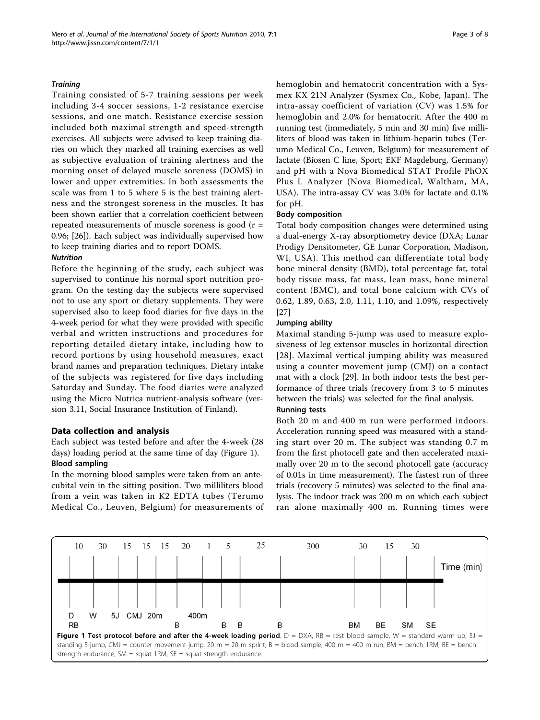Training consisted of 5-7 training sessions per week including 3-4 soccer sessions, 1-2 resistance exercise sessions, and one match. Resistance exercise session included both maximal strength and speed-strength exercises. All subjects were advised to keep training diaries on which they marked all training exercises as well as subjective evaluation of training alertness and the morning onset of delayed muscle soreness (DOMS) in lower and upper extremities. In both assessments the scale was from 1 to 5 where 5 is the best training alertness and the strongest soreness in the muscles. It has been shown earlier that a correlation coefficient between repeated measurements of muscle soreness is good  $(r =$ 0.96; [\[26\]](#page-7-0)). Each subject was individually supervised how to keep training diaries and to report DOMS.

#### **Nutrition**

Before the beginning of the study, each subject was supervised to continue his normal sport nutrition program. On the testing day the subjects were supervised not to use any sport or dietary supplements. They were supervised also to keep food diaries for five days in the 4-week period for what they were provided with specific verbal and written instructions and procedures for reporting detailed dietary intake, including how to record portions by using household measures, exact brand names and preparation techniques. Dietary intake of the subjects was registered for five days including Saturday and Sunday. The food diaries were analyzed using the Micro Nutrica nutrient-analysis software (version 3.11, Social Insurance Institution of Finland).

## Data collection and analysis

Each subject was tested before and after the 4-week (28 days) loading period at the same time of day (Figure 1). Blood sampling

In the morning blood samples were taken from an antecubital vein in the sitting position. Two milliliters blood from a vein was taken in K2 EDTA tubes (Terumo Medical Co., Leuven, Belgium) for measurements of hemoglobin and hematocrit concentration with a Sysmex KX 21N Analyzer (Sysmex Co., Kobe, Japan). The intra-assay coefficient of variation (CV) was 1.5% for hemoglobin and 2.0% for hematocrit. After the 400 m running test (immediately, 5 min and 30 min) five milliliters of blood was taken in lithium-heparin tubes (Terumo Medical Co., Leuven, Belgium) for measurement of lactate (Biosen C line, Sport; EKF Magdeburg, Germany) and pH with a Nova Biomedical STAT Profile PhOX Plus L Analyzer (Nova Biomedical, Waltham, MA, USA). The intra-assay CV was 3.0% for lactate and 0.1% for pH.

#### Body composition

Total body composition changes were determined using a dual-energy X-ray absorptiometry device (DXA; Lunar Prodigy Densitometer, GE Lunar Corporation, Madison, WI, USA). This method can differentiate total body bone mineral density (BMD), total percentage fat, total body tissue mass, fat mass, lean mass, bone mineral content (BMC), and total bone calcium with CVs of 0.62, 1.89, 0.63, 2.0, 1.11, 1.10, and 1.09%, respectively [[27\]](#page-7-0)

#### Jumping ability

Maximal standing 5-jump was used to measure explosiveness of leg extensor muscles in horizontal direction [[28\]](#page-7-0). Maximal vertical jumping ability was measured using a counter movement jump (CMJ) on a contact mat with a clock [[29\]](#page-7-0). In both indoor tests the best performance of three trials (recovery from 3 to 5 minutes between the trials) was selected for the final analysis.

#### Running tests

Both 20 m and 400 m run were performed indoors. Acceleration running speed was measured with a standing start over 20 m. The subject was standing 0.7 m from the first photocell gate and then accelerated maximally over 20 m to the second photocell gate (accuracy of 0.01s in time measurement). The fastest run of three trials (recovery 5 minutes) was selected to the final analysis. The indoor track was 200 m on which each subject ran alone maximally 400 m. Running times were

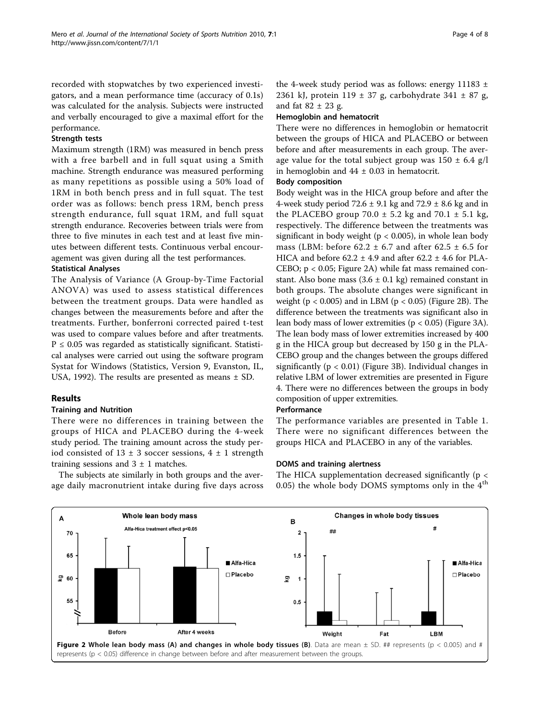recorded with stopwatches by two experienced investigators, and a mean performance time (accuracy of 0.1s) was calculated for the analysis. Subjects were instructed and verbally encouraged to give a maximal effort for the performance.

#### Strength tests

Maximum strength (1RM) was measured in bench press with a free barbell and in full squat using a Smith machine. Strength endurance was measured performing as many repetitions as possible using a 50% load of 1RM in both bench press and in full squat. The test order was as follows: bench press 1RM, bench press strength endurance, full squat 1RM, and full squat strength endurance. Recoveries between trials were from three to five minutes in each test and at least five minutes between different tests. Continuous verbal encouragement was given during all the test performances.

#### Statistical Analyses

The Analysis of Variance (A Group-by-Time Factorial ANOVA) was used to assess statistical differences between the treatment groups. Data were handled as changes between the measurements before and after the treatments. Further, bonferroni corrected paired t-test was used to compare values before and after treatments.  $P \leq 0.05$  was regarded as statistically significant. Statistical analyses were carried out using the software program Systat for Windows (Statistics, Version 9, Evanston, IL, USA, 1992). The results are presented as means ± SD.

## Results

#### Training and Nutrition

There were no differences in training between the groups of HICA and PLACEBO during the 4-week study period. The training amount across the study period consisted of  $13 \pm 3$  soccer sessions,  $4 \pm 1$  strength training sessions and  $3 \pm 1$  matches.

The subjects ate similarly in both groups and the average daily macronutrient intake during five days across

the 4-week study period was as follows: energy 11183  $\pm$ 2361 kJ, protein 119  $\pm$  37 g, carbohydrate 341  $\pm$  87 g, and fat  $82 \pm 23$  g.

#### Hemoglobin and hematocrit

There were no differences in hemoglobin or hematocrit between the groups of HICA and PLACEBO or between before and after measurements in each group. The average value for the total subject group was  $150 \pm 6.4$  g/l in hemoglobin and  $44 \pm 0.03$  in hematocrit.

#### Body composition

Body weight was in the HICA group before and after the 4-week study period  $72.6 \pm 9.1$  kg and  $72.9 \pm 8.6$  kg and in the PLACEBO group  $70.0 \pm 5.2$  kg and  $70.1 \pm 5.1$  kg, respectively. The difference between the treatments was significant in body weight ( $p < 0.005$ ), in whole lean body mass (LBM: before  $62.2 \pm 6.7$  and after  $62.5 \pm 6.5$  for HICA and before  $62.2 \pm 4.9$  and after  $62.2 \pm 4.6$  for PLA-CEBO; p < 0.05; Figure 2A) while fat mass remained constant. Also bone mass  $(3.6 \pm 0.1 \text{ kg})$  remained constant in both groups. The absolute changes were significant in weight ( $p < 0.005$ ) and in LBM ( $p < 0.05$ ) (Figure 2B). The difference between the treatments was significant also in lean body mass of lower extremities (p < 0.05) (Figure [3A](#page-4-0)). The lean body mass of lower extremities increased by 400 g in the HICA group but decreased by 150 g in the PLA-CEBO group and the changes between the groups differed significantly ( $p < 0.01$ ) (Figure [3B](#page-4-0)). Individual changes in relative LBM of lower extremities are presented in Figure [4.](#page-4-0) There were no differences between the groups in body composition of upper extremities.

#### Performance

The performance variables are presented in Table [1](#page-5-0). There were no significant differences between the groups HICA and PLACEBO in any of the variables.

#### DOMS and training alertness

The HICA supplementation decreased significantly (p < 0.05) the whole body DOMS symptoms only in the  $4<sup>th</sup>$ 

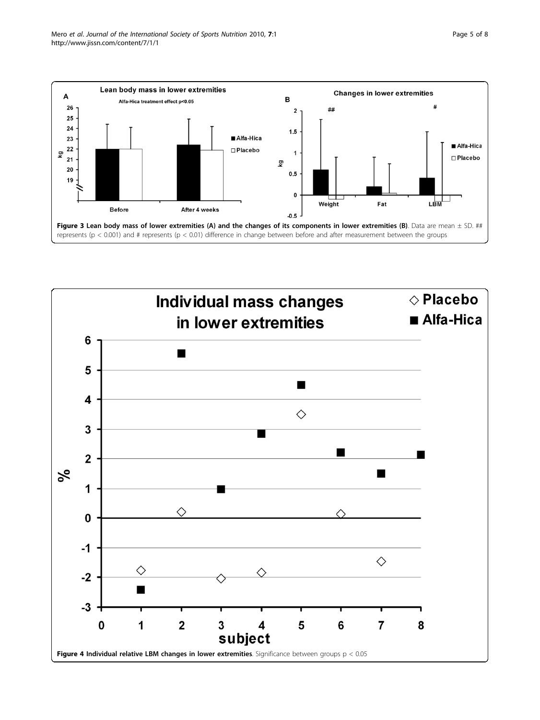<span id="page-4-0"></span>

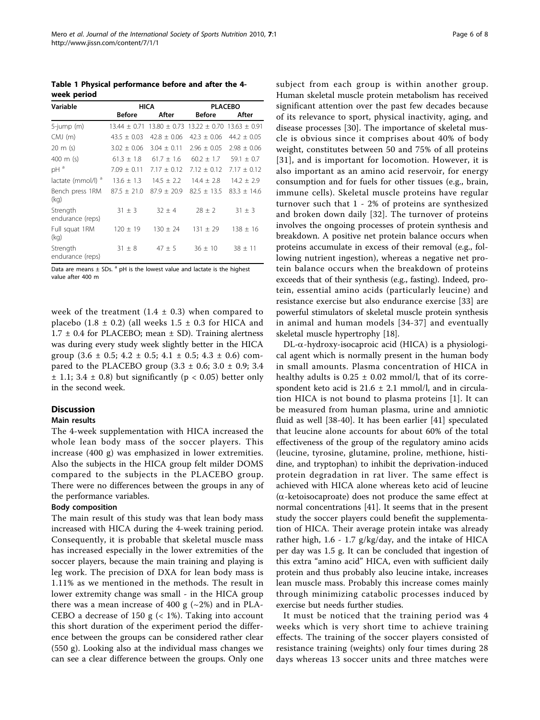<span id="page-5-0"></span>Table 1 Physical performance before and after the 4 week period

| Variable                      | HICA            |                  | <b>PLACEBO</b>              |                 |
|-------------------------------|-----------------|------------------|-----------------------------|-----------------|
|                               | <b>Before</b>   | After            | <b>Before</b>               | After           |
| $5$ -jump $(m)$               | $13.44 + 0.71$  | $13.80 \pm 0.73$ | $13.22 + 0.70$ 13.63 + 0.91 |                 |
| $CMJ$ (m)                     | $43.5 \pm 0.03$ | $42.8 + 0.06$    | $42.3 + 0.06$               | $44.2 + 0.05$   |
| $20 \text{ m}$ (s)            | $3.02 \pm 0.06$ | $3.04 \pm 0.11$  | $2.96 + 0.05$               | $2.98 \pm 0.06$ |
| 400 m (s)                     | $61.3 \pm 1.8$  | $61.7 \pm 1.6$   | $60.2 \pm 1.7$              | 59.1 $\pm$ 0.7  |
| $pH^a$                        | $7.09 \pm 0.11$ | $7.17 \pm 0.12$  | $7.12 \pm 0.12$             | $7.17 \pm 0.12$ |
| lactate (mmol/l) <sup>a</sup> | $13.6 \pm 1.3$  | $14.5 \pm 2.2$   | $14.4 \pm 2.8$              | $14.2 \pm 2.9$  |
| Bench press 1RM<br>(kg)       | $87.5 \pm 21.0$ | $87.9 + 20.9$    | $82.5 + 13.5$               | $83.3 + 14.6$   |
| Strength<br>endurance (reps)  | $31 \pm 3$      | $32 + 4$         | $28 + 2$                    | $31 \pm 3$      |
| Full squat 1RM<br>(kg)        | $120 \pm 19$    | $130 \pm 24$     | $131 \pm 29$                | $138 \pm 16$    |
| Strength<br>endurance (reps)  | $31 \pm 8$      | $47 \pm 5$       | $36 \pm 10$                 | $38 \pm 11$     |

Data are means  $\pm$  SDs.<sup>a</sup> pH is the lowest value and lactate is the highest value after 400 m

week of the treatment  $(1.4 \pm 0.3)$  when compared to placebo  $(1.8 \pm 0.2)$  (all weeks  $1.5 \pm 0.3$  for HICA and  $1.7 \pm 0.4$  for PLACEBO; mean  $\pm$  SD). Training alertness was during every study week slightly better in the HICA group  $(3.6 \pm 0.5; 4.2 \pm 0.5; 4.1 \pm 0.5; 4.3 \pm 0.6)$  compared to the PLACEBO group  $(3.3 \pm 0.6; 3.0 \pm 0.9; 3.4)$  $\pm$  1.1; 3.4  $\pm$  0.8) but significantly (p < 0.05) better only in the second week.

#### Discussion

#### Main results

The 4-week supplementation with HICA increased the whole lean body mass of the soccer players. This increase (400 g) was emphasized in lower extremities. Also the subjects in the HICA group felt milder DOMS compared to the subjects in the PLACEBO group. There were no differences between the groups in any of the performance variables.

#### Body composition

The main result of this study was that lean body mass increased with HICA during the 4-week training period. Consequently, it is probable that skeletal muscle mass has increased especially in the lower extremities of the soccer players, because the main training and playing is leg work. The precision of DXA for lean body mass is 1.11% as we mentioned in the methods. The result in lower extremity change was small - in the HICA group there was a mean increase of 400 g  $(\sim 2\%)$  and in PLA-CEBO a decrease of 150 g  $\left($  < 1%). Taking into account this short duration of the experiment period the difference between the groups can be considered rather clear (550 g). Looking also at the individual mass changes we can see a clear difference between the groups. Only one subject from each group is within another group. Human skeletal muscle protein metabolism has received significant attention over the past few decades because of its relevance to sport, physical inactivity, aging, and disease processes [[30\]](#page-7-0). The importance of skeletal muscle is obvious since it comprises about 40% of body weight, constitutes between 50 and 75% of all proteins [[31\]](#page-7-0), and is important for locomotion. However, it is also important as an amino acid reservoir, for energy consumption and for fuels for other tissues (e.g., brain, immune cells). Skeletal muscle proteins have regular turnover such that 1 - 2% of proteins are synthesized and broken down daily [\[32\]](#page-7-0). The turnover of proteins involves the ongoing processes of protein synthesis and breakdown. A positive net protein balance occurs when proteins accumulate in excess of their removal (e.g., following nutrient ingestion), whereas a negative net protein balance occurs when the breakdown of proteins exceeds that of their synthesis (e.g., fasting). Indeed, protein, essential amino acids (particularly leucine) and resistance exercise but also endurance exercise [\[33](#page-7-0)] are powerful stimulators of skeletal muscle protein synthesis in animal and human models [\[34](#page-7-0)-[37](#page-7-0)] and eventually skeletal muscle hypertrophy [[18\]](#page-7-0).

 $DL-\alpha$ -hydroxy-isocaproic acid (HICA) is a physiological agent which is normally present in the human body in small amounts. Plasma concentration of HICA in healthy adults is  $0.25 \pm 0.02$  mmol/l, that of its correspondent keto acid is  $21.6 \pm 2.1$  mmol/l, and in circulation HICA is not bound to plasma proteins [\[1\]](#page-6-0). It can be measured from human plasma, urine and amniotic fluid as well [\[38](#page-7-0)-[40](#page-7-0)]. It has been earlier [\[41](#page-7-0)] speculated that leucine alone accounts for about 60% of the total effectiveness of the group of the regulatory amino acids (leucine, tyrosine, glutamine, proline, methione, histidine, and tryptophan) to inhibit the deprivation-induced protein degradation in rat liver. The same effect is achieved with HICA alone whereas keto acid of leucine  $(\alpha$ -ketoisocaproate) does not produce the same effect at normal concentrations [[41\]](#page-7-0). It seems that in the present study the soccer players could benefit the supplementation of HICA. Their average protein intake was already rather high,  $1.6 - 1.7$  g/kg/day, and the intake of HICA per day was 1.5 g. It can be concluded that ingestion of this extra "amino acid" HICA, even with sufficient daily protein and thus probably also leucine intake, increases lean muscle mass. Probably this increase comes mainly through minimizing catabolic processes induced by exercise but needs further studies.

It must be noticed that the training period was 4 weeks which is very short time to achieve training effects. The training of the soccer players consisted of resistance training (weights) only four times during 28 days whereas 13 soccer units and three matches were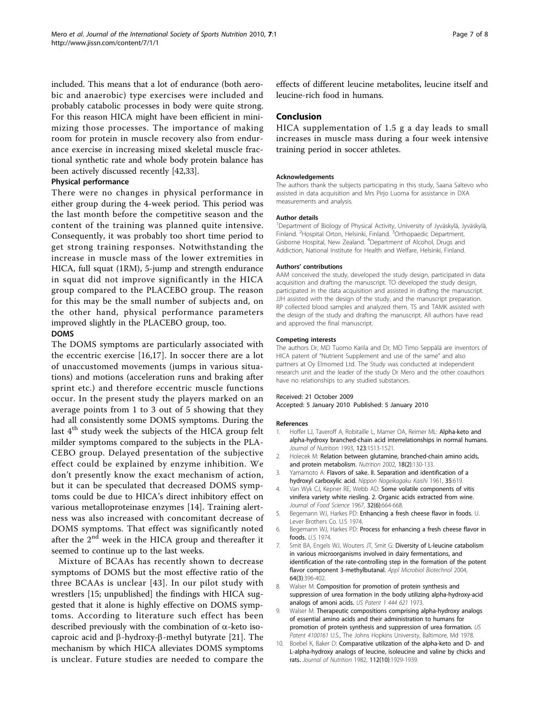<span id="page-6-0"></span>included. This means that a lot of endurance (both aerobic and anaerobic) type exercises were included and probably catabolic processes in body were quite strong. For this reason HICA might have been efficient in minimizing those processes. The importance of making room for protein in muscle recovery also from endurance exercise in increasing mixed skeletal muscle fractional synthetic rate and whole body protein balance has been actively discussed recently [[42,33](#page-7-0)].

#### Physical performance

There were no changes in physical performance in either group during the 4-week period. This period was the last month before the competitive season and the content of the training was planned quite intensive. Consequently, it was probably too short time period to get strong training responses. Notwithstanding the increase in muscle mass of the lower extremities in HICA, full squat (1RM), 5-jump and strength endurance in squat did not improve significantly in the HICA group compared to the PLACEBO group. The reason for this may be the small number of subjects and, on the other hand, physical performance parameters improved slightly in the PLACEBO group, too.

#### DOMS

The DOMS symptoms are particularly associated with the eccentric exercise [[16,17](#page-7-0)]. In soccer there are a lot of unaccustomed movements (jumps in various situations) and motions (acceleration runs and braking after sprint etc.) and therefore eccentric muscle functions occur. In the present study the players marked on an average points from 1 to 3 out of 5 showing that they had all consistently some DOMS symptoms. During the last  $4<sup>th</sup>$  study week the subjects of the HICA group felt milder symptoms compared to the subjects in the PLA-CEBO group. Delayed presentation of the subjective effect could be explained by enzyme inhibition. We don't presently know the exact mechanism of action, but it can be speculated that decreased DOMS symptoms could be due to HICA's direct inhibitory effect on various metalloproteinase enzymes [[14\]](#page-7-0). Training alertness was also increased with concomitant decrease of DOMS symptoms. That effect was significantly noted after the  $2<sup>nd</sup>$  week in the HICA group and thereafter it seemed to continue up to the last weeks.

Mixture of BCAAs has recently shown to decrease symptoms of DOMS but the most effective ratio of the three BCAAs is unclear [[43](#page-7-0)]. In our pilot study with wrestlers [15; unpublished] the findings with HICA suggested that it alone is highly effective on DOMS symptoms. According to literature such effect has been described previously with the combination of  $\alpha$ -keto isocaproic acid and  $\beta$ -hydroxy- $\beta$ -methyl butyrate [[21](#page-7-0)]. The mechanism by which HICA alleviates DOMS symptoms is unclear. Future studies are needed to compare the

effects of different leucine metabolites, leucine itself and leucine-rich food in humans.

#### Conclusion

HICA supplementation of 1.5 g a day leads to small increases in muscle mass during a four week intensive training period in soccer athletes.

#### Acknowledgements

The authors thank the subjects participating in this study, Saana Saltevo who assisted in data acquisition and Mrs Pirjo Luoma for assistance in DXA measurements and analysis.

#### Author details

<sup>1</sup> Department of Biology of Physical Activity, University of Jyväskylä, Jyväskylä,<br>Finland. <sup>2</sup> Hospital Orton, Helsinki, Finland. <sup>3</sup>Orthopaedic Department, Gisborne Hospital, New Zealand. <sup>4</sup> Department of Alcohol, Drugs and Addiction, National Institute for Health and Welfare, Helsinki, Finland.

#### Authors' contributions

AAM conceived the study, developed the study design, participated in data acquisition and drafting the manuscript. TO developed the study design, participated in the data acquisition and assisted in drafting the manuscript. JJH assisted with the design of the study, and the manuscript preparation. RP collected blood samples and analyzed them. TS and TAMK assisted with the design of the study and drafting the manuscript. All authors have read and approved the final manuscript.

#### Competing interests

The authors Dr, MD Tuomo Karila and Dr, MD Timo Seppälä are inventors of HICA patent of "Nutrient Supplement and use of the same" and also partners at Oy Elmomed Ltd. The Study was conducted at independent research unit and the leader of the study Dr Mero and the other coauthors have no relationships to any studied substances.

#### Received: 21 October 2009

Accepted: 5 January 2010 Published: 5 January 2010

#### References

- 1. Hoffer LJ, Taveroff A, Robitaille L, Mamer OA, Reimer ML: Alpha-keto and alpha-hydroxy branched-chain acid interrelationships in normal humans. Journal of Nutrition 1993, 123:1513-1521.
- 2. Holecek M: Relation between glutamine, branched-chain amino acids, and protein metabolism. Nutrition 2002, 18(2):130-133.
- 3. Yamamoto A: Flavors of sake. II. Separation and identification of a hydroxyl carboxylic acid. Nippon Nogeikagaku Kaishi 1961, 35:619.
- 4. Van Wyk CJ, Kepner RE, Webb AD: Some volatile components of vitis vinifera variety white riesling. 2. Organic acids extracted from wine. Journal of Food Science 1967, 32(6):664-668.
- Begemann WJ, Harkes PD: Enhancing a fresh cheese flavor in foods. U. Lever Brothers Co. U.S 1974.
- 6. Begemann WJ, Harkes PD: Process for enhancing a fresh cheese flavor in foods. U.S 1974.
- 7. Smit BA, Engels WJ, Wouters JT, Smit G: Diversity of L-leucine catabolism in various microorganisms involved in dairy fermentations, and identification of the rate-controlling step in the formation of the potent flavor component 3-methylbutanal. Appl Microbiol Biotechnol 2004, 64(3):396-402.
- 8. Walser M: Composition for promotion of protein synthesis and suppression of urea formation in the body utilizing alpha-hydroxy-acid analogs of amoni acids. US Patent 1 444 621 1973.
- 9. Walser M: Therapeutic compositions comprising alpha-hydroxy analogs of essential amino acids and their administration to humans for promotion of protein synthesis and suppression of urea formation. US Patent 4100161 U.S., The Johns Hopkins University, Baltimore, Md 1978.
- 10. Boebel K, Baker D: Comparative utilization of the alpha-keto and D- and L-alpha-hydroxy analogs of leucine, isoleucine and valine by chicks and rats. Journal of Nutrition 1982, 112(10):1929-1939.